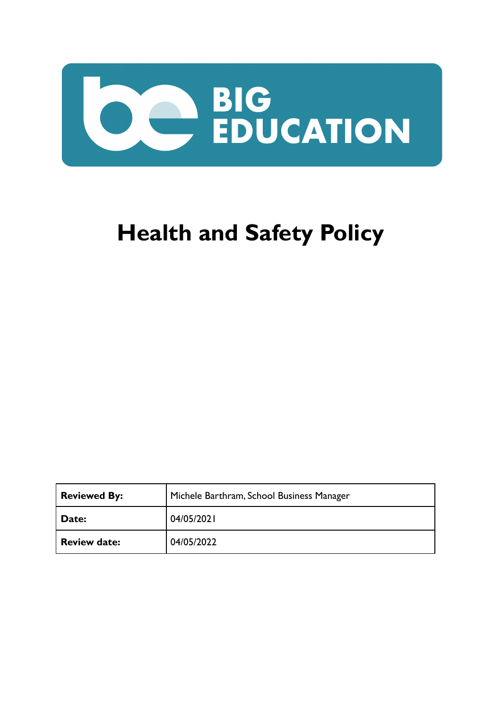

# **Health and Safety Policy**

| <b>Reviewed By:</b> | Michele Barthram, School Business Manager |  |
|---------------------|-------------------------------------------|--|
| Date:               | 04/05/2021                                |  |
| <b>Review date:</b> | 04/05/2022                                |  |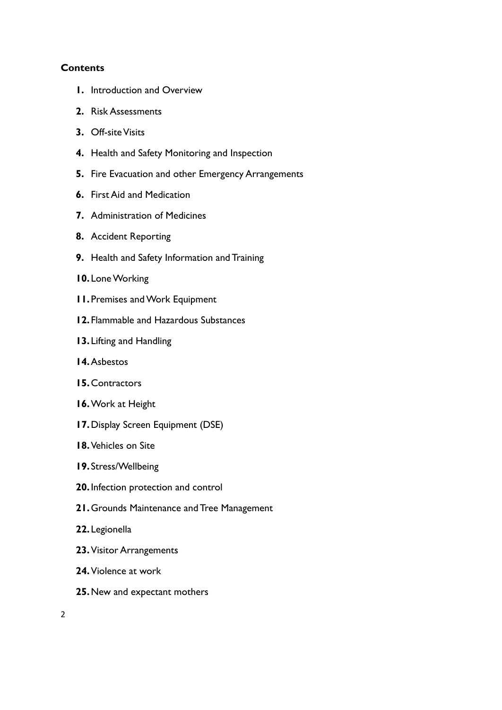#### **Contents**

- **1.** Introduction and Overview
- **2.** Risk Assessments
- **3.** Off-site Visits
- **4.** Health and Safety Monitoring and Inspection
- **5.** Fire Evacuation and other Emergency Arrangements
- **6.** First Aid and Medication
- **7.** Administration of Medicines
- **8.** Accident Reporting
- **9.** Health and Safety Information and Training
- **10.** Lone Working
- **11.** Premises and Work Equipment
- **12.** Flammable and Hazardous Substances
- **13.** Lifting and Handling
- **14.**Asbestos
- **15.**Contractors
- **16.**Work at Height
- **17.**Display Screen Equipment (DSE)
- **18.**Vehicles on Site
- **19.** Stress/Wellbeing
- **20.**Infection protection and control
- **21.**Grounds Maintenance and Tree Management
- **22.** Legionella
- **23.**Visitor Arrangements
- **24.**Violence at work
- **25.**New and expectant mothers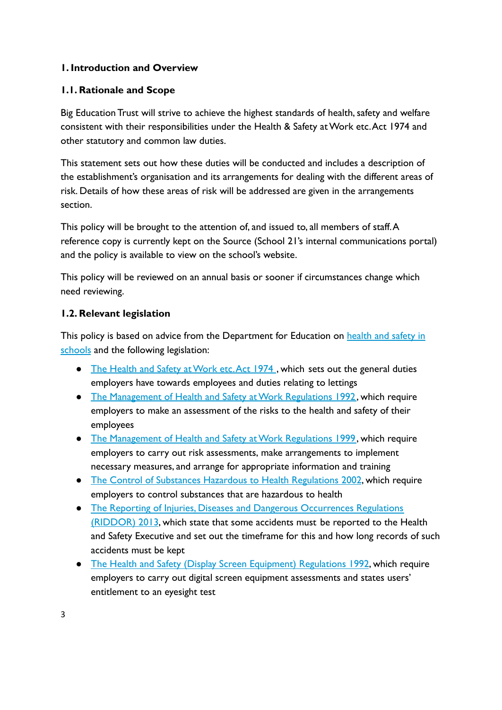## **1. Introduction and Overview**

#### **1.1. Rationale and Scope**

Big Education Trust will strive to achieve the highest standards of health, safety and welfare consistent with their responsibilities under the Health & Safety at Work etc.Act 1974 and other statutory and common law duties.

This statement sets out how these duties will be conducted and includes a description of the establishment's organisation and its arrangements for dealing with the different areas of risk. Details of how these areas of risk will be addressed are given in the arrangements section.

This policy will be brought to the attention of, and issued to, all members of staff.A reference copy is currently kept on the Source (School 21's internal communications portal) and the policy is available to view on the school's website.

This policy will be reviewed on an annual basis or sooner if circumstances change which need reviewing.

## **1.2. Relevant legislation**

This policy is based on advice from the Department for Education on [health and safety in](https://www.gov.uk/government/publications/health-and-safety-advice-for-schools) [schools](https://www.gov.uk/government/publications/health-and-safety-advice-for-schools) and the following legislation:

- [The Health and Safety at Work etc.Act 1974](http://www.legislation.gov.uk/ukpga/1974/37), which sets out the general duties employers have towards employees and duties relating to lettings
- [The Management of Health and Safety at Work Regulations 1992](http://www.legislation.gov.uk/uksi/1992/2051/regulation/3/made), which require employers to make an assessment of the risks to the health and safety of their employees
- [The Management of Health and Safety at Work Regulations 1999](http://www.legislation.gov.uk/uksi/1999/3242/contents/made), which require employers to carry out risk assessments, make arrangements to implement necessary measures, and arrange for appropriate information and training
- [The Control of Substances Hazardous to Health Regulations 2002](http://www.legislation.gov.uk/uksi/2002/2677/contents/made), which require employers to control substances that are hazardous to health
- [The Reporting of Injuries, Diseases and Dangerous Occurrences Regulations](http://www.legislation.gov.uk/uksi/2013/1471/schedule/1/paragraph/1/made) [\(RIDDOR\) 2013](http://www.legislation.gov.uk/uksi/2013/1471/schedule/1/paragraph/1/made), which state that some accidents must be reported to the Health and Safety Executive and set out the timeframe for this and how long records of such accidents must be kept
- [The Health and Safety \(Display Screen Equipment\) Regulations 1992](http://www.legislation.gov.uk/uksi/1992/2792/contents/made), which require employers to carry out digital screen equipment assessments and states users' entitlement to an eyesight test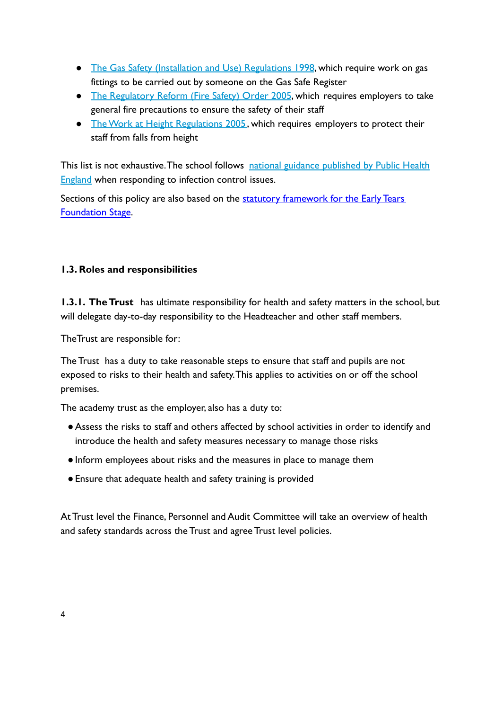- [The Gas Safety \(Installation and Use\) Regulations 1998](http://www.legislation.gov.uk/uksi/1998/2451/regulation/4/made), which require work on gas fittings to be carried out by someone on the Gas Safe Register
- [The Regulatory Reform \(Fire Safety\) Order 2005](http://www.legislation.gov.uk/uksi/2005/1541/part/2/made), which requires employers to take general fire precautions to ensure the safety of their staff
- **•** [The Work at Height Regulations 2005](http://www.legislation.gov.uk/uksi/2005/735/contents/made), which requires employers to protect their staff from falls from height

This list is not exhaustive. The school follows national [guidance published by Public Health](https://www.gov.uk/government/uploads/system/uploads/attachment_data/file/522337/Guidance_on_infection_control_in_schools.pdf) [England](https://www.gov.uk/government/uploads/system/uploads/attachment_data/file/522337/Guidance_on_infection_control_in_schools.pdf) when responding to infection control issues.

Sections of this policy are also based on the statutory [framework for the Early Tears](https://www.gov.uk/government/publications/early-years-foundation-stage-framework--2) [Foundation Stage](https://www.gov.uk/government/publications/early-years-foundation-stage-framework--2).

# **1.3. Roles and responsibilities**

**1.3.1. The Trust** has ultimate responsibility for health and safety matters in the school, but will delegate day-to-day responsibility to the Headteacher and other staff members.

TheTrust are responsible for:

The Trust has a duty to take reasonable steps to ensure that staff and pupils are not exposed to risks to their health and safety.This applies to activities on or off the school premises.

The academy trust as the employer, also has a duty to:

- ●Assess the risks to staff and others affected by school activities in order to identify and introduce the health and safety measures necessary to manage those risks
- Inform employees about risks and the measures in place to manage them
- ●Ensure that adequate health and safety training is provided

At Trust level the Finance, Personnel and Audit Committee will take an overview of health and safety standards across the Trust and agree Trust level policies.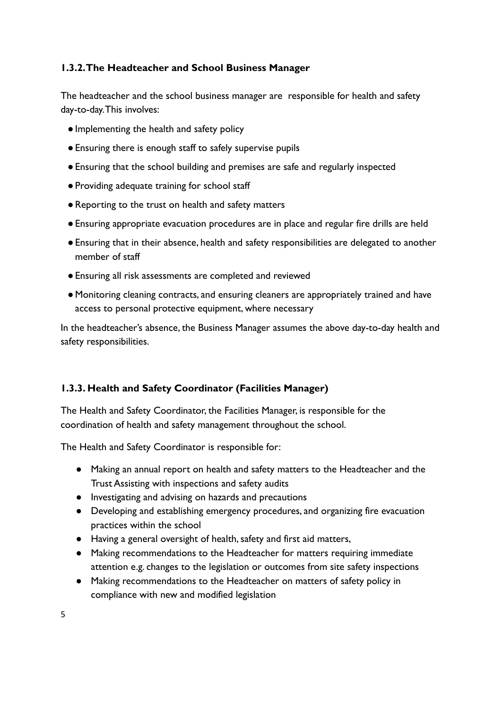### **1.3.2.The Headteacher and School Business Manager**

The headteacher and the school business manager are responsible for health and safety day-to-day.This involves:

- ●Implementing the health and safety policy
- ●Ensuring there is enough staff to safely supervise pupils
- ●Ensuring that the school building and premises are safe and regularly inspected
- ●Providing adequate training for school staff
- ●Reporting to the trust on health and safety matters
- ●Ensuring appropriate evacuation procedures are in place and regular fire drills are held
- ●Ensuring that in their absence, health and safety responsibilities are delegated to another member of staff
- ●Ensuring all risk assessments are completed and reviewed
- ●Monitoring cleaning contracts, and ensuring cleaners are appropriately trained and have access to personal protective equipment, where necessary

In the headteacher's absence, the Business Manager assumes the above day-to-day health and safety responsibilities.

## **1.3.3. Health and Safety Coordinator (Facilities Manager)**

The Health and Safety Coordinator, the Facilities Manager, is responsible for the coordination of health and safety management throughout the school.

The Health and Safety Coordinator is responsible for:

- Making an annual report on health and safety matters to the Headteacher and the Trust Assisting with inspections and safety audits
- Investigating and advising on hazards and precautions
- Developing and establishing emergency procedures, and organizing fire evacuation practices within the school
- Having a general oversight of health, safety and first aid matters,
- Making recommendations to the Headteacher for matters requiring immediate attention e.g. changes to the legislation or outcomes from site safety inspections
- Making recommendations to the Headteacher on matters of safety policy in compliance with new and modified legislation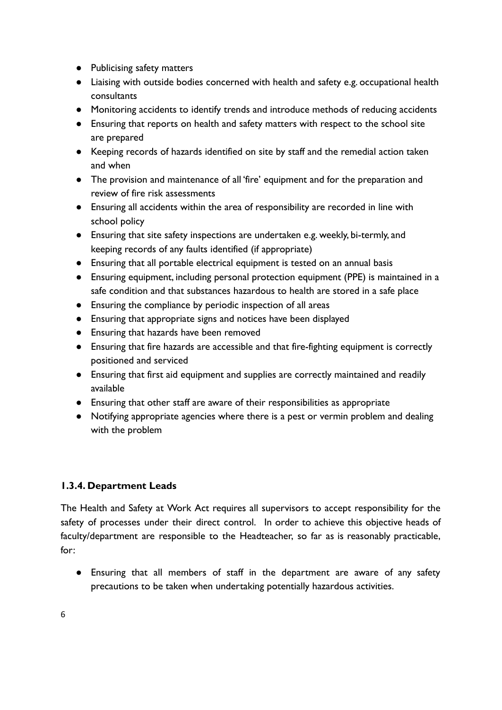- Publicising safety matters
- Liaising with outside bodies concerned with health and safety e.g. occupational health consultants
- Monitoring accidents to identify trends and introduce methods of reducing accidents
- Ensuring that reports on health and safety matters with respect to the school site are prepared
- Keeping records of hazards identified on site by staff and the remedial action taken and when
- The provision and maintenance of all 'fire' equipment and for the preparation and review of fire risk assessments
- Ensuring all accidents within the area of responsibility are recorded in line with school policy
- Ensuring that site safety inspections are undertaken e.g. weekly, bi-termly, and keeping records of any faults identified (if appropriate)
- Ensuring that all portable electrical equipment is tested on an annual basis
- Ensuring equipment, including personal protection equipment (PPE) is maintained in a safe condition and that substances hazardous to health are stored in a safe place
- Ensuring the compliance by periodic inspection of all areas
- Ensuring that appropriate signs and notices have been displayed
- Ensuring that hazards have been removed
- Ensuring that fire hazards are accessible and that fire-fighting equipment is correctly positioned and serviced
- Ensuring that first aid equipment and supplies are correctly maintained and readily available
- Ensuring that other staff are aware of their responsibilities as appropriate
- Notifying appropriate agencies where there is a pest or vermin problem and dealing with the problem

## **1.3.4. Department Leads**

The Health and Safety at Work Act requires all supervisors to accept responsibility for the safety of processes under their direct control. In order to achieve this objective heads of faculty/department are responsible to the Headteacher, so far as is reasonably practicable, for:

● Ensuring that all members of staff in the department are aware of any safety precautions to be taken when undertaking potentially hazardous activities.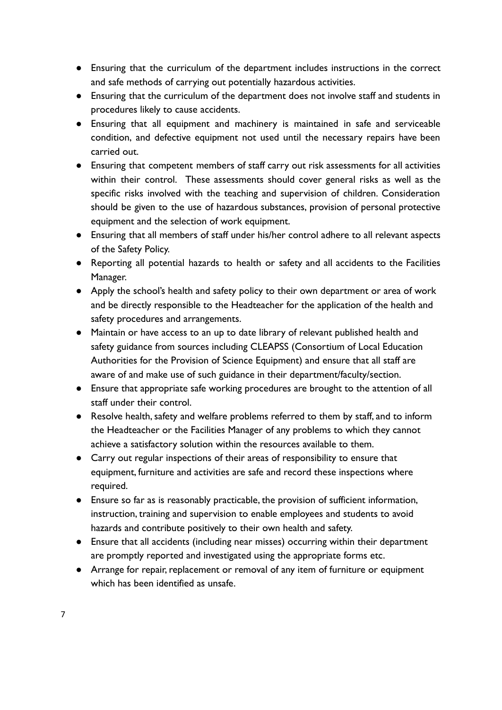- Ensuring that the curriculum of the department includes instructions in the correct and safe methods of carrying out potentially hazardous activities.
- Ensuring that the curriculum of the department does not involve staff and students in procedures likely to cause accidents.
- Ensuring that all equipment and machinery is maintained in safe and serviceable condition, and defective equipment not used until the necessary repairs have been carried out.
- Ensuring that competent members of staff carry out risk assessments for all activities within their control. These assessments should cover general risks as well as the specific risks involved with the teaching and supervision of children. Consideration should be given to the use of hazardous substances, provision of personal protective equipment and the selection of work equipment.
- Ensuring that all members of staff under his/her control adhere to all relevant aspects of the Safety Policy.
- Reporting all potential hazards to health or safety and all accidents to the Facilities Manager.
- Apply the school's health and safety policy to their own department or area of work and be directly responsible to the Headteacher for the application of the health and safety procedures and arrangements.
- Maintain or have access to an up to date library of relevant published health and safety guidance from sources including CLEAPSS (Consortium of Local Education Authorities for the Provision of Science Equipment) and ensure that all staff are aware of and make use of such guidance in their department/faculty/section.
- Ensure that appropriate safe working procedures are brought to the attention of all staff under their control.
- Resolve health, safety and welfare problems referred to them by staff, and to inform the Headteacher or the Facilities Manager of any problems to which they cannot achieve a satisfactory solution within the resources available to them.
- Carry out regular inspections of their areas of responsibility to ensure that equipment, furniture and activities are safe and record these inspections where required.
- Ensure so far as is reasonably practicable, the provision of sufficient information, instruction, training and supervision to enable employees and students to avoid hazards and contribute positively to their own health and safety.
- Ensure that all accidents (including near misses) occurring within their department are promptly reported and investigated using the appropriate forms etc.
- Arrange for repair, replacement or removal of any item of furniture or equipment which has been identified as unsafe.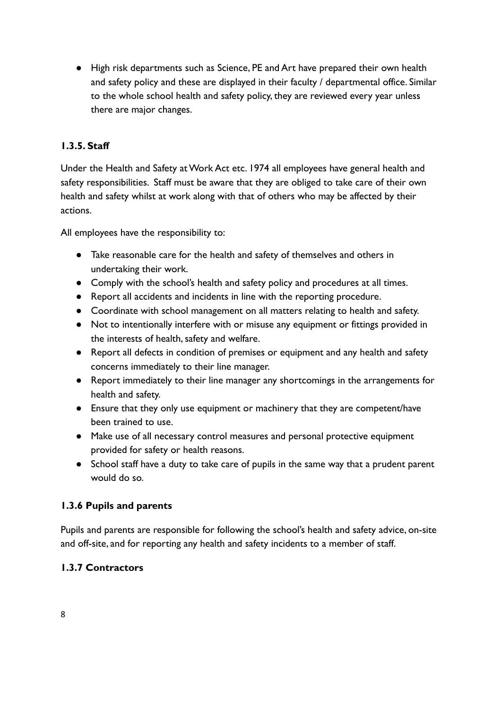● High risk departments such as Science, PE and Art have prepared their own health and safety policy and these are displayed in their faculty / departmental office. Similar to the whole school health and safety policy, they are reviewed every year unless there are major changes.

## **1.3.5. Staff**

Under the Health and Safety at Work Act etc. 1974 all employees have general health and safety responsibilities. Staff must be aware that they are obliged to take care of their own health and safety whilst at work along with that of others who may be affected by their actions.

All employees have the responsibility to:

- Take reasonable care for the health and safety of themselves and others in undertaking their work.
- Comply with the school's health and safety policy and procedures at all times.
- Report all accidents and incidents in line with the reporting procedure.
- Coordinate with school management on all matters relating to health and safety.
- Not to intentionally interfere with or misuse any equipment or fittings provided in the interests of health, safety and welfare.
- Report all defects in condition of premises or equipment and any health and safety concerns immediately to their line manager.
- Report immediately to their line manager any shortcomings in the arrangements for health and safety.
- Ensure that they only use equipment or machinery that they are competent/have been trained to use.
- Make use of all necessary control measures and personal protective equipment provided for safety or health reasons.
- School staff have a duty to take care of pupils in the same way that a prudent parent would do so.

## **1.3.6 Pupils and parents**

Pupils and parents are responsible for following the school's health and safety advice, on-site and off-site, and for reporting any health and safety incidents to a member of staff.

## **1.3.7 Contractors**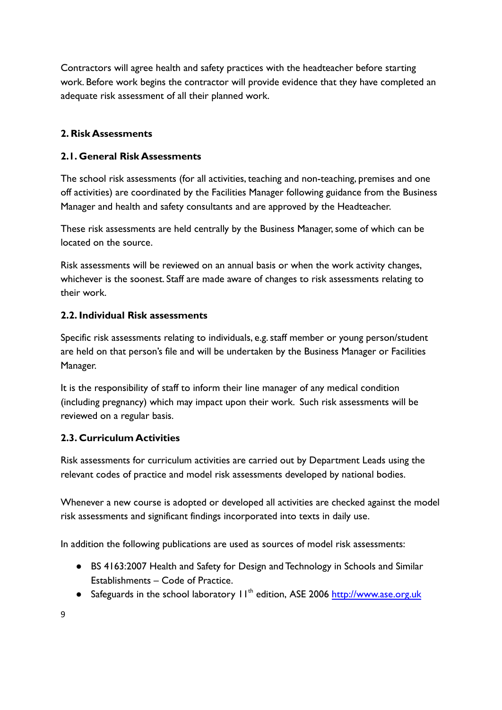Contractors will agree health and safety practices with the headteacher before starting work. Before work begins the contractor will provide evidence that they have completed an adequate risk assessment of all their planned work.

#### **2. Risk Assessments**

#### **2.1. General Risk Assessments**

The school risk assessments (for all activities, teaching and non-teaching, premises and one off activities) are coordinated by the Facilities Manager following guidance from the Business Manager and health and safety consultants and are approved by the Headteacher.

These risk assessments are held centrally by the Business Manager, some of which can be located on the source.

Risk assessments will be reviewed on an annual basis or when the work activity changes, whichever is the soonest. Staff are made aware of changes to risk assessments relating to their work.

#### **2.2. Individual Risk assessments**

Specific risk assessments relating to individuals, e.g. staff member or young person/student are held on that person's file and will be undertaken by the Business Manager or Facilities Manager.

It is the responsibility of staff to inform their line manager of any medical condition (including pregnancy) which may impact upon their work. Such risk assessments will be reviewed on a regular basis.

## **2.3. Curriculum Activities**

Risk assessments for curriculum activities are carried out by Department Leads using the relevant codes of practice and model risk assessments developed by national bodies.

Whenever a new course is adopted or developed all activities are checked against the model risk assessments and significant findings incorporated into texts in daily use.

In addition the following publications are used as sources of model risk assessments:

- BS 4163:2007 Health and Safety for Design and Technology in Schools and Similar Establishments – Code of Practice.
- Safeguards in the school laboratory 11<sup>th</sup> edition, ASE 2006 <http://www.ase.org.uk>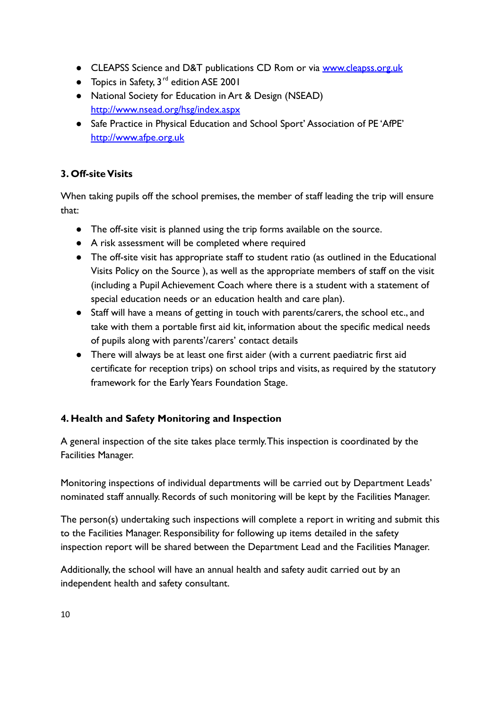- CLEAPSS Science and D&T publications CD Rom or via [www.cleapss.org.uk](http://www.cleapss.org.uk)
- $\bullet$  Topics in Safety, 3<sup>rd</sup> edition ASE 2001
- National Society for Education in Art & Design (NSEAD) <http://www.nsead.org/hsg/index.aspx>
- Safe Practice in Physical Education and School Sport' Association of PE 'AfPE' <http://www.afpe.org.uk>

## **3. Off-site Visits**

When taking pupils off the school premises, the member of staff leading the trip will ensure that:

- The off-site visit is planned using the trip forms available on the source.
- A risk assessment will be completed where required
- The off-site visit has appropriate staff to student ratio (as outlined in the Educational Visits Policy on the Source ), as well as the appropriate members of staff on the visit (including a Pupil Achievement Coach where there is a student with a statement of special education needs or an education health and care plan).
- Staff will have a means of getting in touch with parents/carers, the school etc., and take with them a portable first aid kit, information about the specific medical needs of pupils along with parents'/carers' contact details
- There will always be at least one first aider (with a current paediatric first aid certificate for reception trips) on school trips and visits, as required by the statutory framework for the Early Years Foundation Stage.

# **4. Health and Safety Monitoring and Inspection**

A general inspection of the site takes place termly.This inspection is coordinated by the Facilities Manager.

Monitoring inspections of individual departments will be carried out by Department Leads' nominated staff annually. Records of such monitoring will be kept by the Facilities Manager.

The person(s) undertaking such inspections will complete a report in writing and submit this to the Facilities Manager. Responsibility for following up items detailed in the safety inspection report will be shared between the Department Lead and the Facilities Manager.

Additionally, the school will have an annual health and safety audit carried out by an independent health and safety consultant.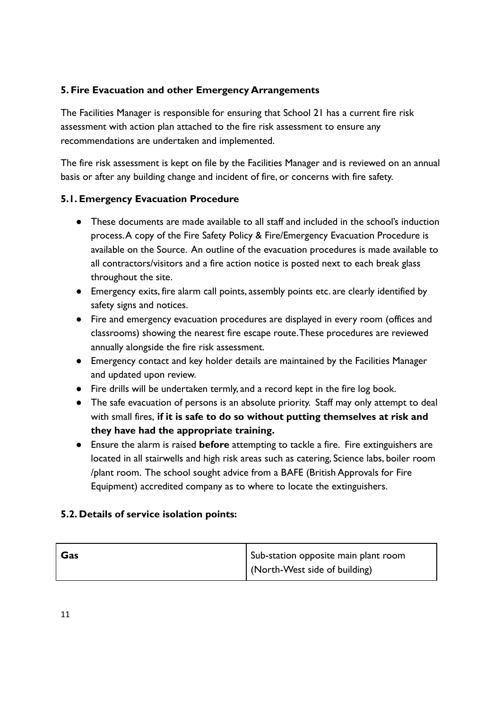## **5. Fire Evacuation and other Emergency Arrangements**

The Facilities Manager is responsible for ensuring that School 21 has a current fire risk assessment with action plan attached to the fire risk assessment to ensure any recommendations are undertaken and implemented.

The fire risk assessment is kept on file by the Facilities Manager and is reviewed on an annual basis or after any building change and incident of fire, or concerns with fire safety.

## **5.1. Emergency Evacuation Procedure**

- These documents are made available to all staff and included in the school's induction process.A copy of the Fire Safety Policy & Fire/Emergency Evacuation Procedure is available on the Source. An outline of the evacuation procedures is made available to all contractors/visitors and a fire action notice is posted next to each break glass throughout the site.
- Emergency exits, fire alarm call points, assembly points etc. are clearly identified by safety signs and notices.
- Fire and emergency evacuation procedures are displayed in every room (offices and classrooms) showing the nearest fire escape route.These procedures are reviewed annually alongside the fire risk assessment.
- Emergency contact and key holder details are maintained by the Facilities Manager and updated upon review.
- Fire drills will be undertaken termly, and a record kept in the fire log book.
- The safe evacuation of persons is an absolute priority. Staff may only attempt to deal with small fires, **if it is safe to do so without putting themselves at risk and they have had the appropriate training.**
- Ensure the alarm is raised **before** attempting to tackle a fire. Fire extinguishers are located in all stairwells and high risk areas such as catering, Science labs, boiler room /plant room. The school sought advice from a BAFE (British Approvals for Fire Equipment) accredited company as to where to locate the extinguishers.

## **5.2. Details of service isolation points:**

| Gas | Sub-station opposite main plant room |
|-----|--------------------------------------|
|     | (North-West side of building)        |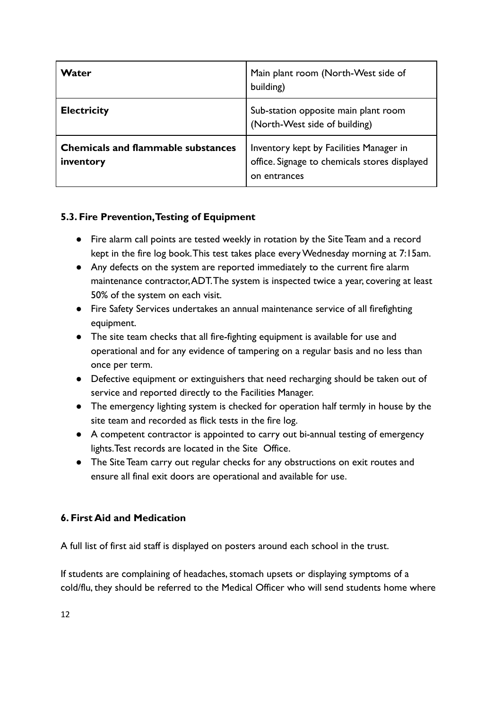| Water                                                  | Main plant room (North-West side of<br>building)                                                      |
|--------------------------------------------------------|-------------------------------------------------------------------------------------------------------|
| <b>Electricity</b>                                     | Sub-station opposite main plant room<br>(North-West side of building)                                 |
| <b>Chemicals and flammable substances</b><br>inventory | Inventory kept by Facilities Manager in<br>office. Signage to chemicals stores displayed<br>entrances |

# **5.3. Fire Prevention,Testing of Equipment**

- Fire alarm call points are tested weekly in rotation by the Site Team and a record kept in the fire log book.This test takes place every Wednesday morning at 7:15am.
- Any defects on the system are reported immediately to the current fire alarm maintenance contractor,ADT.The system is inspected twice a year, covering at least 50% of the system on each visit.
- Fire Safety Services undertakes an annual maintenance service of all firefighting equipment.
- The site team checks that all fire-fighting equipment is available for use and operational and for any evidence of tampering on a regular basis and no less than once per term.
- Defective equipment or extinguishers that need recharging should be taken out of service and reported directly to the Facilities Manager.
- The emergency lighting system is checked for operation half termly in house by the site team and recorded as flick tests in the fire log.
- A competent contractor is appointed to carry out bi-annual testing of emergency lights.Test records are located in the Site Office.
- The Site Team carry out regular checks for any obstructions on exit routes and ensure all final exit doors are operational and available for use.

## **6. First Aid and Medication**

A full list of first aid staff is displayed on posters around each school in the trust.

If students are complaining of headaches, stomach upsets or displaying symptoms of a cold/flu, they should be referred to the Medical Officer who will send students home where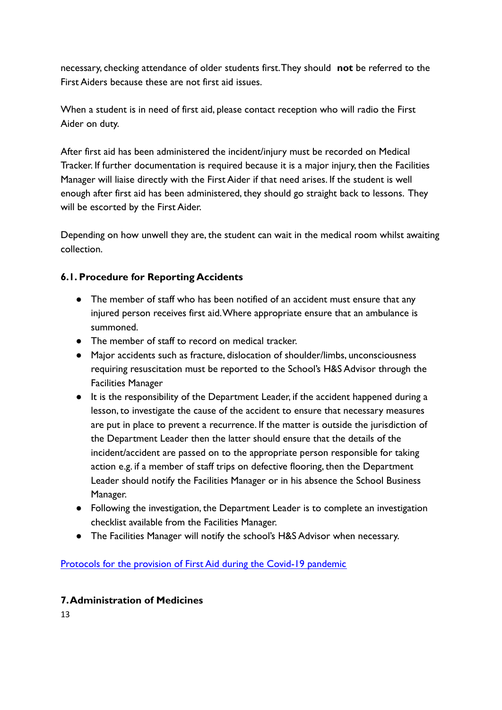necessary, checking attendance of older students first.They should **not** be referred to the First Aiders because these are not first aid issues.

When a student is in need of first aid, please contact reception who will radio the First Aider on duty.

After first aid has been administered the incident/injury must be recorded on Medical Tracker. If further documentation is required because it is a major injury, then the Facilities Manager will liaise directly with the First Aider if that need arises. If the student is well enough after first aid has been administered, they should go straight back to lessons. They will be escorted by the First Aider.

Depending on how unwell they are, the student can wait in the medical room whilst awaiting collection.

## **6.1. Procedure for Reporting Accidents**

- The member of staff who has been notified of an accident must ensure that any injured person receives first aid.Where appropriate ensure that an ambulance is summoned.
- The member of staff to record on medical tracker.
- Major accidents such as fracture, dislocation of shoulder/limbs, unconsciousness requiring resuscitation must be reported to the School's H&S Advisor through the Facilities Manager
- It is the responsibility of the Department Leader, if the accident happened during a lesson, to investigate the cause of the accident to ensure that necessary measures are put in place to prevent a recurrence. If the matter is outside the jurisdiction of the Department Leader then the latter should ensure that the details of the incident/accident are passed on to the appropriate person responsible for taking action e.g. if a member of staff trips on defective flooring, then the Department Leader should notify the Facilities Manager or in his absence the School Business Manager.
- Following the investigation, the Department Leader is to complete an investigation checklist available from the Facilities Manager.
- The Facilities Manager will notify the school's H&S Advisor when necessary.

[Protocols for the provision of First Aid during the Covid-19 pandemic](https://docs.google.com/document/d/1Xtq0Zy_ZmCmr2wazOKOtGZIDcOtGjT_sBSHtMue7KGk/edit)

## **7.Administration of Medicines**

13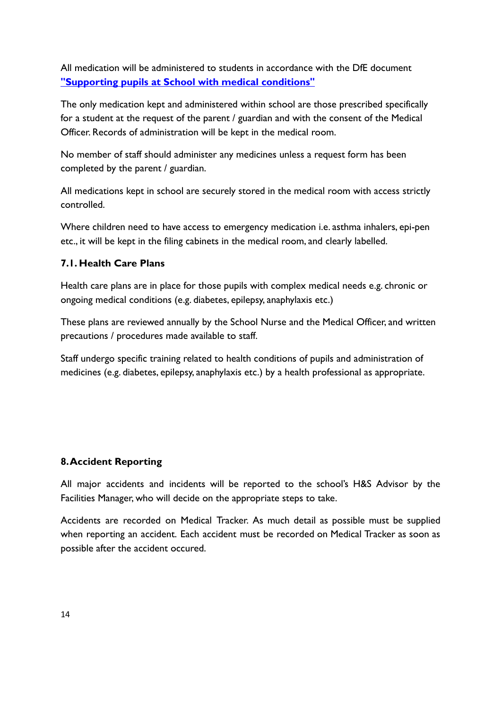All medication will be administered to students in accordance with the DfE document **["Supporting pupils at School with medical conditions"](https://www.gov.uk/government/uploads/system/uploads/attachment_data/file/484418/supporting-pupils-at-school-with-medical-conditions.pdf)**

The only medication kept and administered within school are those prescribed specifically for a student at the request of the parent / guardian and with the consent of the Medical Officer. Records of administration will be kept in the medical room.

No member of staff should administer any medicines unless a request form has been completed by the parent / guardian.

All medications kept in school are securely stored in the medical room with access strictly controlled.

Where children need to have access to emergency medication i.e. asthma inhalers, epi-pen etc., it will be kept in the filing cabinets in the medical room, and clearly labelled.

## **7.1. Health Care Plans**

Health care plans are in place for those pupils with complex medical needs e.g. chronic or ongoing medical conditions (e.g. diabetes, epilepsy, anaphylaxis etc.)

These plans are reviewed annually by the School Nurse and the Medical Officer, and written precautions / procedures made available to staff.

Staff undergo specific training related to health conditions of pupils and administration of medicines (e.g. diabetes, epilepsy, anaphylaxis etc.) by a health professional as appropriate.

#### **8.Accident Reporting**

All major accidents and incidents will be reported to the school's H&S Advisor by the Facilities Manager, who will decide on the appropriate steps to take.

Accidents are recorded on Medical Tracker. As much detail as possible must be supplied when reporting an accident. Each accident must be recorded on Medical Tracker as soon as possible after the accident occured.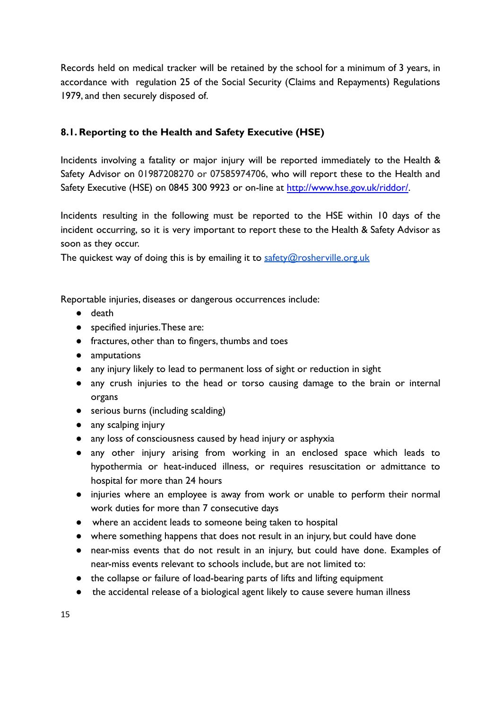Records held on medical tracker will be retained by the school for a minimum of 3 years, in accordance with regulation 25 of the Social Security (Claims and Repayments) Regulations 1979, and then securely disposed of.

## **8.1. Reporting to the Health and Safety Executive (HSE)**

Incidents involving a fatality or major injury will be reported immediately to the Health & Safety Advisor on 01987208270 or 07585974706, who will report these to the Health and Safety Executive (HSE) on 0845 300 9923 or on-line at [http://www.hse.gov.uk/riddor/.](http://www.hse.gov.uk/riddor/)

Incidents resulting in the following must be reported to the HSE within 10 days of the incident occurring, so it is very important to report these to the Health & Safety Advisor as soon as they occur.

The quickest way of doing this is by emailing it to [safety@rosherville.org.uk](mailto:safety@rosherville.org.uk)

Reportable injuries, diseases or dangerous occurrences include:

- death
- specified injuries.These are:
- fractures, other than to fingers, thumbs and toes
- amputations
- any injury likely to lead to permanent loss of sight or reduction in sight
- any crush injuries to the head or torso causing damage to the brain or internal organs
- serious burns (including scalding)
- any scalping injury
- any loss of consciousness caused by head injury or asphyxia
- any other injury arising from working in an enclosed space which leads to hypothermia or heat-induced illness, or requires resuscitation or admittance to hospital for more than 24 hours
- injuries where an employee is away from work or unable to perform their normal work duties for more than 7 consecutive days
- where an accident leads to someone being taken to hospital
- where something happens that does not result in an injury, but could have done
- near-miss events that do not result in an injury, but could have done. Examples of near-miss events relevant to schools include, but are not limited to:
- the collapse or failure of load-bearing parts of lifts and lifting equipment
- the accidental release of a biological agent likely to cause severe human illness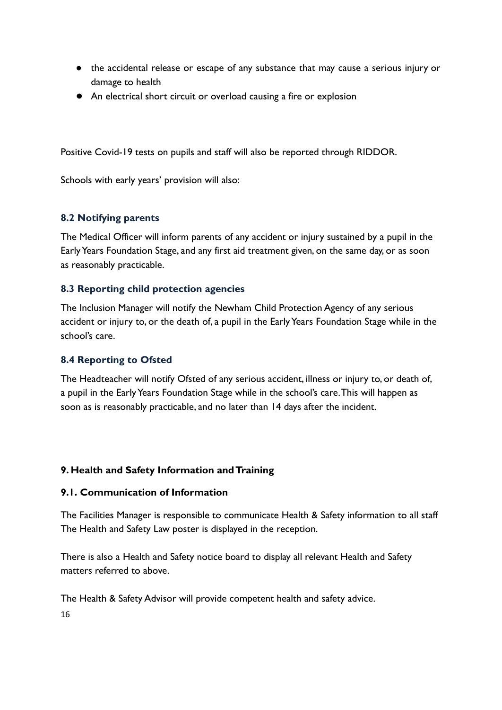- the accidental release or escape of any substance that may cause a serious injury or damage to health
- An electrical short circuit or overload causing a fire or explosion

Positive Covid-19 tests on pupils and staff will also be reported through RIDDOR.

Schools with early years' provision will also:

#### **8.2 Notifying parents**

The Medical Officer will inform parents of any accident or injury sustained by a pupil in the Early Years Foundation Stage, and any first aid treatment given, on the same day, or as soon as reasonably practicable.

#### **8.3 Reporting child protection agencies**

The Inclusion Manager will notify the Newham Child Protection Agency of any serious accident or injury to, or the death of, a pupil in the Early Years Foundation Stage while in the school's care.

#### **8.4 Reporting to Ofsted**

The Headteacher will notify Ofsted of any serious accident, illness or injury to, or death of, a pupil in the Early Years Foundation Stage while in the school's care.This will happen as soon as is reasonably practicable, and no later than 14 days after the incident.

#### **9. Health and Safety Information and Training**

#### **9.1. Communication of Information**

The Facilities Manager is responsible to communicate Health & Safety information to all staff The Health and Safety Law poster is displayed in the reception.

There is also a Health and Safety notice board to display all relevant Health and Safety matters referred to above.

The Health & Safety Advisor will provide competent health and safety advice.

16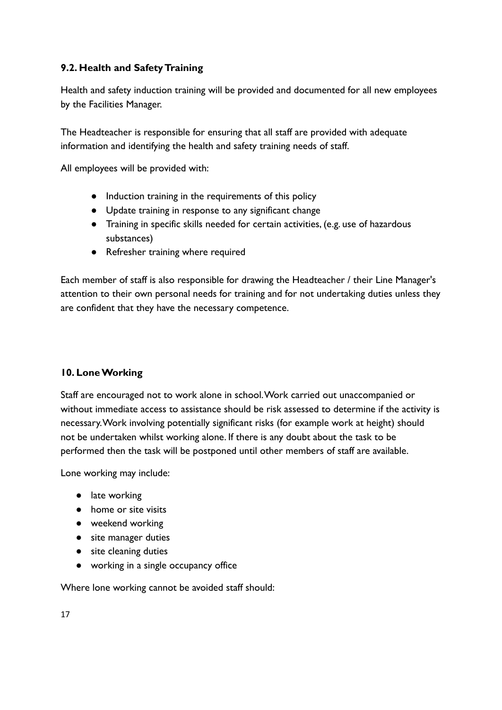## **9.2. Health and Safety Training**

Health and safety induction training will be provided and documented for all new employees by the Facilities Manager.

The Headteacher is responsible for ensuring that all staff are provided with adequate information and identifying the health and safety training needs of staff.

All employees will be provided with:

- Induction training in the requirements of this policy
- Update training in response to any significant change
- Training in specific skills needed for certain activities, (e.g. use of hazardous substances)
- Refresher training where required

Each member of staff is also responsible for drawing the Headteacher / their Line Manager's attention to their own personal needs for training and for not undertaking duties unless they are confident that they have the necessary competence.

# **10. Lone Working**

Staff are encouraged not to work alone in school.Work carried out unaccompanied or without immediate access to assistance should be risk assessed to determine if the activity is necessary.Work involving potentially significant risks (for example work at height) should not be undertaken whilst working alone. If there is any doubt about the task to be performed then the task will be postponed until other members of staff are available.

Lone working may include:

- late working
- home or site visits
- weekend working
- site manager duties
- site cleaning duties
- working in a single occupancy office

Where lone working cannot be avoided staff should: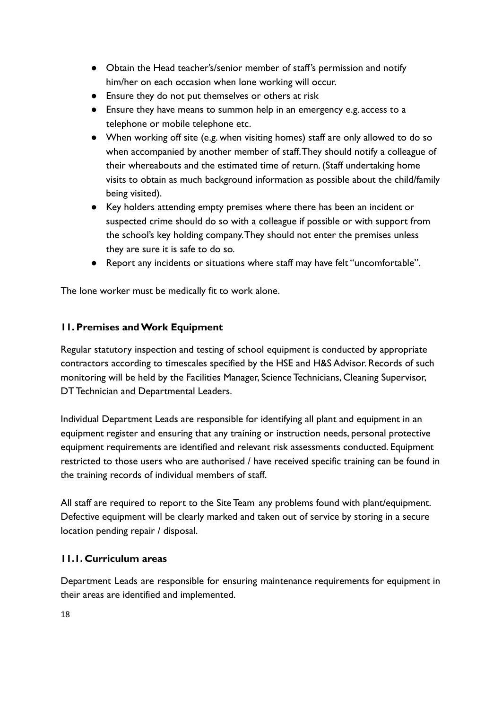- **●** Obtain the Head teacher's/senior member of staff's permission and notify him/her on each occasion when lone working will occur.
- **●** Ensure they do not put themselves or others at risk
- **●** Ensure they have means to summon help in an emergency e.g. access to a telephone or mobile telephone etc.
- **●** When working off site (e.g. when visiting homes) staff are only allowed to do so when accompanied by another member of staff.They should notify a colleague of their whereabouts and the estimated time of return. (Staff undertaking home visits to obtain as much background information as possible about the child/family being visited).
- **●** Key holders attending empty premises where there has been an incident or suspected crime should do so with a colleague if possible or with support from the school's key holding company.They should not enter the premises unless they are sure it is safe to do so.
- **●** Report any incidents or situations where staff may have felt "uncomfortable".

The lone worker must be medically fit to work alone.

#### **11. Premises and Work Equipment**

Regular statutory inspection and testing of school equipment is conducted by appropriate contractors according to timescales specified by the HSE and H&S Advisor. Records of such monitoring will be held by the Facilities Manager, Science Technicians, Cleaning Supervisor, DT Technician and Departmental Leaders.

Individual Department Leads are responsible for identifying all plant and equipment in an equipment register and ensuring that any training or instruction needs, personal protective equipment requirements are identified and relevant risk assessments conducted. Equipment restricted to those users who are authorised / have received specific training can be found in the training records of individual members of staff.

All staff are required to report to the Site Team any problems found with plant/equipment. Defective equipment will be clearly marked and taken out of service by storing in a secure location pending repair / disposal.

#### **11.1. Curriculum areas**

Department Leads are responsible for ensuring maintenance requirements for equipment in their areas are identified and implemented.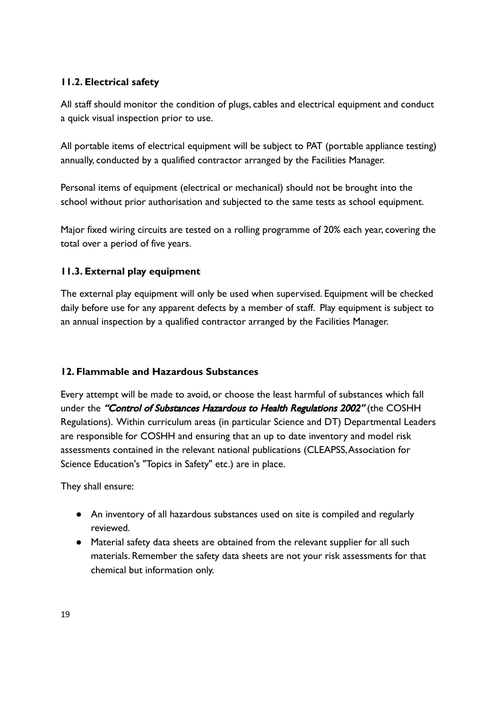## **11.2. Electrical safety**

All staff should monitor the condition of plugs, cables and electrical equipment and conduct a quick visual inspection prior to use.

All portable items of electrical equipment will be subject to PAT (portable appliance testing) annually, conducted by a qualified contractor arranged by the Facilities Manager.

Personal items of equipment (electrical or mechanical) should not be brought into the school without prior authorisation and subjected to the same tests as school equipment.

Major fixed wiring circuits are tested on a rolling programme of 20% each year, covering the total over a period of five years.

## **11.3. External play equipment**

The external play equipment will only be used when supervised. Equipment will be checked daily before use for any apparent defects by a member of staff. Play equipment is subject to an annual inspection by a qualified contractor arranged by the Facilities Manager.

## **12. Flammable and Hazardous Substances**

Every attempt will be made to avoid, or choose the least harmful of substances which fall under the "Control of Substances Hazardous to Health Regulations 2002" (the COSHH Regulations). Within curriculum areas (in particular Science and DT) Departmental Leaders are responsible for COSHH and ensuring that an up to date inventory and model risk assessments contained in the relevant national publications (CLEAPSS,Association for Science Education's "Topics in Safety" etc.) are in place.

They shall ensure:

- An inventory of all hazardous substances used on site is compiled and regularly reviewed.
- Material safety data sheets are obtained from the relevant supplier for all such materials. Remember the safety data sheets are not your risk assessments for that chemical but information only.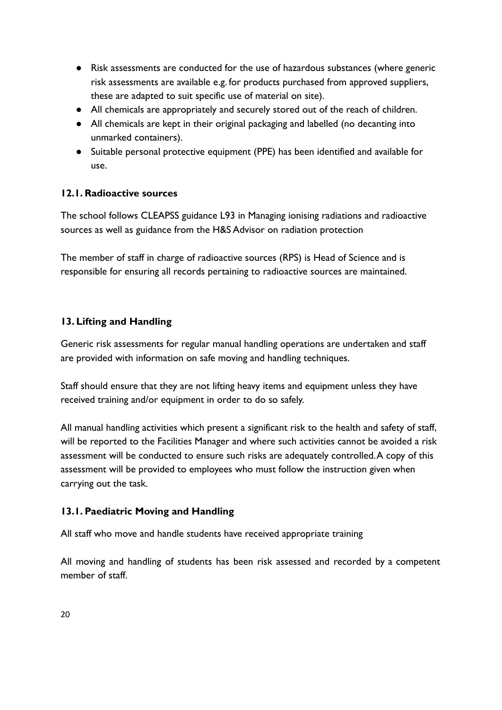- Risk assessments are conducted for the use of hazardous substances (where generic risk assessments are available e.g. for products purchased from approved suppliers, these are adapted to suit specific use of material on site).
- All chemicals are appropriately and securely stored out of the reach of children.
- All chemicals are kept in their original packaging and labelled (no decanting into unmarked containers).
- Suitable personal protective equipment (PPE) has been identified and available for use.

# **12.1. Radioactive sources**

The school follows CLEAPSS guidance L93 in Managing ionising radiations and radioactive sources as well as guidance from the H&S Advisor on radiation protection

The member of staff in charge of radioactive sources (RPS) is Head of Science and is responsible for ensuring all records pertaining to radioactive sources are maintained.

## **13. Lifting and Handling**

Generic risk assessments for regular manual handling operations are undertaken and staff are provided with information on safe moving and handling techniques.

Staff should ensure that they are not lifting heavy items and equipment unless they have received training and/or equipment in order to do so safely.

All manual handling activities which present a significant risk to the health and safety of staff, will be reported to the Facilities Manager and where such activities cannot be avoided a risk assessment will be conducted to ensure such risks are adequately controlled.A copy of this assessment will be provided to employees who must follow the instruction given when carrying out the task.

## **13.1. Paediatric Moving and Handling**

All staff who move and handle students have received appropriate training

All moving and handling of students has been risk assessed and recorded by a competent member of staff.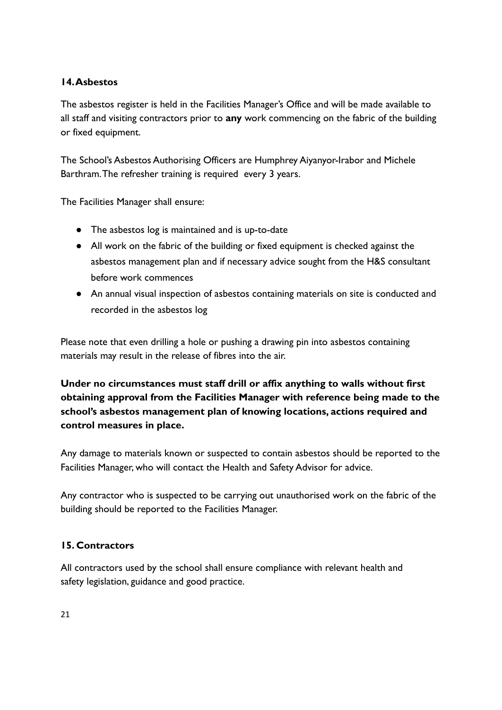## **14.Asbestos**

The asbestos register is held in the Facilities Manager's Office and will be made available to all staff and visiting contractors prior to **any** work commencing on the fabric of the building or fixed equipment.

The School's Asbestos Authorising Officers are Humphrey Aiyanyor-Irabor and Michele Barthram.The refresher training is required every 3 years.

The Facilities Manager shall ensure:

- The asbestos log is maintained and is up-to-date
- All work on the fabric of the building or fixed equipment is checked against the asbestos management plan and if necessary advice sought from the H&S consultant before work commences
- An annual visual inspection of asbestos containing materials on site is conducted and recorded in the asbestos log

Please note that even drilling a hole or pushing a drawing pin into asbestos containing materials may result in the release of fibres into the air.

**Under no circumstances must staff drill or affix anything to walls without first obtaining approval from the Facilities Manager with reference being made to the school's asbestos management plan of knowing locations, actions required and control measures in place.**

Any damage to materials known or suspected to contain asbestos should be reported to the Facilities Manager, who will contact the Health and Safety Advisor for advice.

Any contractor who is suspected to be carrying out unauthorised work on the fabric of the building should be reported to the Facilities Manager.

## **15. Contractors**

All contractors used by the school shall ensure compliance with relevant health and safety legislation, guidance and good practice.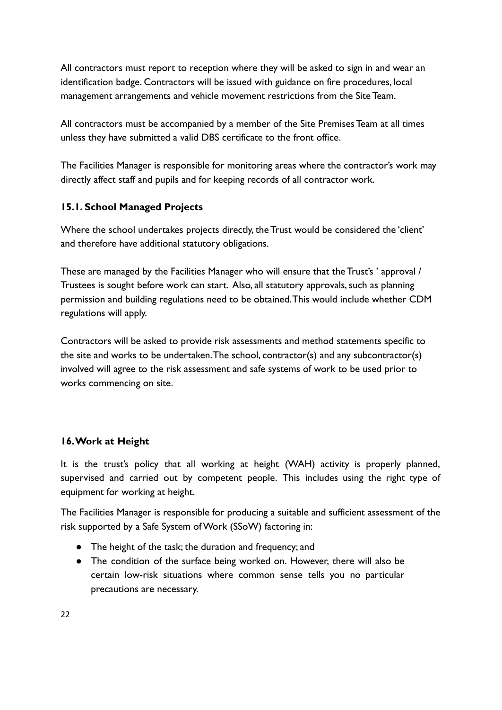All contractors must report to reception where they will be asked to sign in and wear an identification badge. Contractors will be issued with guidance on fire procedures, local management arrangements and vehicle movement restrictions from the Site Team.

All contractors must be accompanied by a member of the Site Premises Team at all times unless they have submitted a valid DBS certificate to the front office.

The Facilities Manager is responsible for monitoring areas where the contractor's work may directly affect staff and pupils and for keeping records of all contractor work.

## **15.1. School Managed Projects**

Where the school undertakes projects directly, the Trust would be considered the 'client' and therefore have additional statutory obligations.

These are managed by the Facilities Manager who will ensure that the Trust's ' approval / Trustees is sought before work can start. Also, all statutory approvals, such as planning permission and building regulations need to be obtained.This would include whether CDM regulations will apply.

Contractors will be asked to provide risk assessments and method statements specific to the site and works to be undertaken.The school, contractor(s) and any subcontractor(s) involved will agree to the risk assessment and safe systems of work to be used prior to works commencing on site.

## **16.Work at Height**

It is the trust's policy that all working at height (WAH) activity is properly planned, supervised and carried out by competent people. This includes using the right type of equipment for working at height.

The Facilities Manager is responsible for producing a suitable and sufficient assessment of the risk supported by a Safe System of Work (SSoW) factoring in:

- The height of the task; the duration and frequency; and
- The condition of the surface being worked on. However, there will also be certain low-risk situations where common sense tells you no particular precautions are necessary.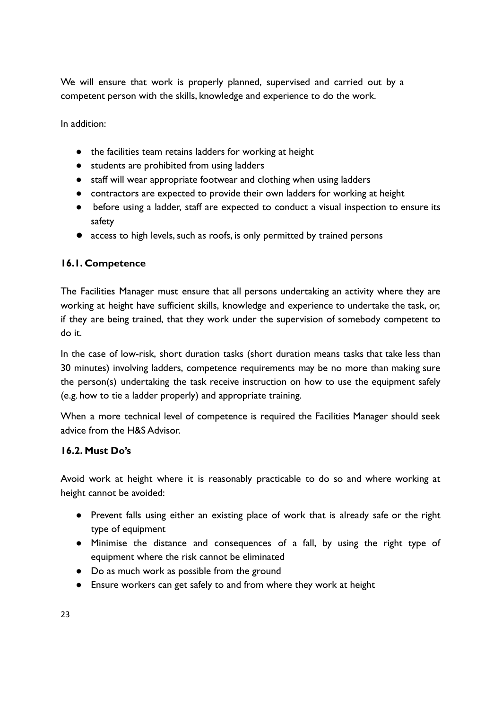We will ensure that work is properly planned, supervised and carried out by a competent person with the skills, knowledge and experience to do the work.

In addition:

- the facilities team retains ladders for working at height
- students are prohibited from using ladders
- staff will wear appropriate footwear and clothing when using ladders
- contractors are expected to provide their own ladders for working at height
- before using a ladder, staff are expected to conduct a visual inspection to ensure its safety
- access to high levels, such as roofs, is only permitted by trained persons

#### **16.1. Competence**

The Facilities Manager must ensure that all persons undertaking an activity where they are working at height have sufficient skills, knowledge and experience to undertake the task, or, if they are being trained, that they work under the supervision of somebody competent to do it.

In the case of low-risk, short duration tasks (short duration means tasks that take less than 30 minutes) involving ladders, competence requirements may be no more than making sure the person(s) undertaking the task receive instruction on how to use the equipment safely (e.g. how to tie a ladder properly) and appropriate training.

When a more technical level of competence is required the Facilities Manager should seek advice from the H&S Advisor.

#### **16.2. Must Do's**

Avoid work at height where it is reasonably practicable to do so and where working at height cannot be avoided:

- Prevent falls using either an existing place of work that is already safe or the right type of equipment
- Minimise the distance and consequences of a fall, by using the right type of equipment where the risk cannot be eliminated
- Do as much work as possible from the ground
- Ensure workers can get safely to and from where they work at height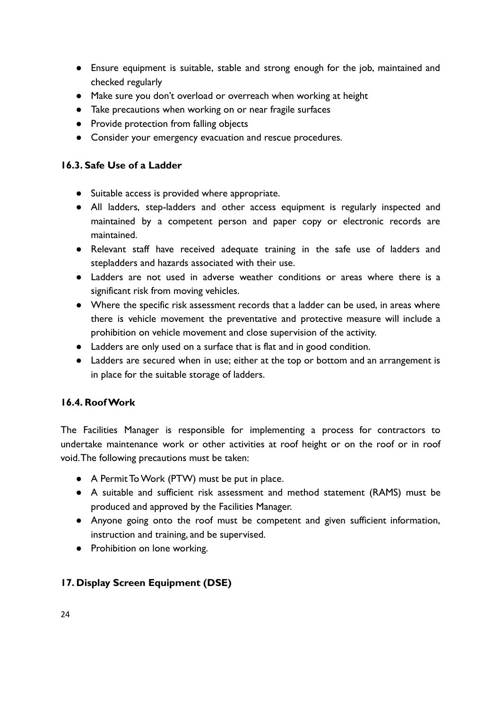- Ensure equipment is suitable, stable and strong enough for the job, maintained and checked regularly
- Make sure you don't overload or overreach when working at height
- Take precautions when working on or near fragile surfaces
- Provide protection from falling objects
- Consider your emergency evacuation and rescue procedures.

#### **16.3. Safe Use of a Ladder**

- Suitable access is provided where appropriate.
- All ladders, step-ladders and other access equipment is regularly inspected and maintained by a competent person and paper copy or electronic records are maintained.
- Relevant staff have received adequate training in the safe use of ladders and stepladders and hazards associated with their use.
- Ladders are not used in adverse weather conditions or areas where there is a significant risk from moving vehicles.
- Where the specific risk assessment records that a ladder can be used, in areas where there is vehicle movement the preventative and protective measure will include a prohibition on vehicle movement and close supervision of the activity.
- Ladders are only used on a surface that is flat and in good condition.
- Ladders are secured when in use; either at the top or bottom and an arrangement is in place for the suitable storage of ladders.

#### **16.4. Roof Work**

The Facilities Manager is responsible for implementing a process for contractors to undertake maintenance work or other activities at roof height or on the roof or in roof void.The following precautions must be taken:

- A Permit To Work (PTW) must be put in place.
- A suitable and sufficient risk assessment and method statement (RAMS) must be produced and approved by the Facilities Manager.
- Anyone going onto the roof must be competent and given sufficient information, instruction and training, and be supervised.
- Prohibition on lone working.

## **17. Display Screen Equipment (DSE)**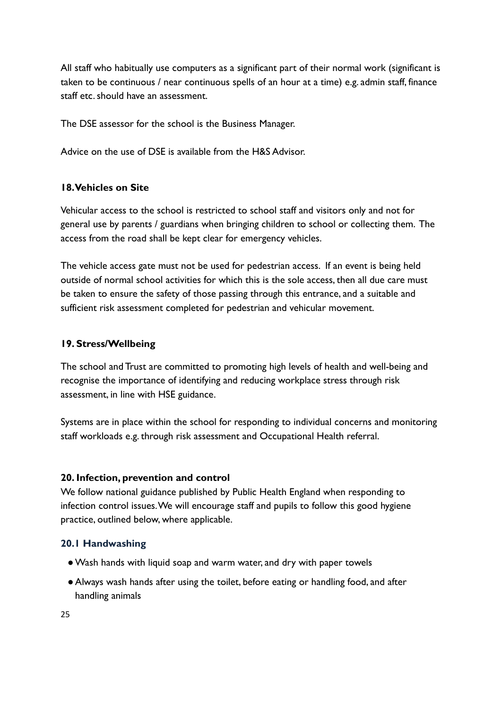All staff who habitually use computers as a significant part of their normal work (significant is taken to be continuous / near continuous spells of an hour at a time) e.g. admin staff, finance staff etc. should have an assessment.

The DSE assessor for the school is the Business Manager.

Advice on the use of DSE is available from the H&S Advisor.

#### **18.Vehicles on Site**

Vehicular access to the school is restricted to school staff and visitors only and not for general use by parents / guardians when bringing children to school or collecting them. The access from the road shall be kept clear for emergency vehicles.

The vehicle access gate must not be used for pedestrian access. If an event is being held outside of normal school activities for which this is the sole access, then all due care must be taken to ensure the safety of those passing through this entrance, and a suitable and sufficient risk assessment completed for pedestrian and vehicular movement.

#### **19. Stress/Wellbeing**

The school and Trust are committed to promoting high levels of health and well-being and recognise the importance of identifying and reducing workplace stress through risk assessment, in line with HSE guidance.

Systems are in place within the school for responding to individual concerns and monitoring staff workloads e.g. through risk assessment and Occupational Health referral.

#### **20. Infection, prevention and control**

We follow national guidance published by Public Health England when responding to infection control issues.We will encourage staff and pupils to follow this good hygiene practice, outlined below, where applicable.

#### **20.1 Handwashing**

- ●Wash hands with liquid soap and warm water, and dry with paper towels
- ●Always wash hands after using the toilet, before eating or handling food, and after handling animals

25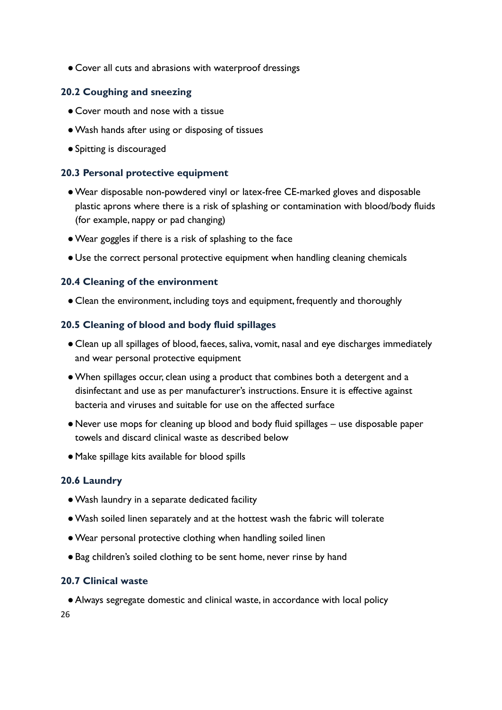● Cover all cuts and abrasions with waterproof dressings

#### **20.2 Coughing and sneezing**

- Cover mouth and nose with a tissue
- ●Wash hands after using or disposing of tissues
- ●Spitting is discouraged

#### **20.3 Personal protective equipment**

- ●Wear disposable non-powdered vinyl or latex-free CE-marked gloves and disposable plastic aprons where there is a risk of splashing or contamination with blood/body fluids (for example, nappy or pad changing)
- ●Wear goggles if there is a risk of splashing to the face
- Use the correct personal protective equipment when handling cleaning chemicals

#### **20.4 Cleaning of the environment**

**●** Clean the environment, including toys and equipment, frequently and thoroughly

#### **20.5 Cleaning of blood and body fluid spillages**

- Clean up all spillages of blood, faeces, saliva, vomit, nasal and eye discharges immediately and wear personal protective equipment
- ●When spillages occur, clean using a product that combines both a detergent and a disinfectant and use as per manufacturer's instructions. Ensure it is effective against bacteria and viruses and suitable for use on the affected surface
- ●Never use mops for cleaning up blood and body fluid spillages use disposable paper towels and discard clinical waste as described below
- ●Make spillage kits available for blood spills

#### **20.6 Laundry**

- ●Wash laundry in a separate dedicated facility
- ●Wash soiled linen separately and at the hottest wash the fabric will tolerate
- ●Wear personal protective clothing when handling soiled linen
- Bag children's soiled clothing to be sent home, never rinse by hand

#### **20.7 Clinical waste**

●Always segregate domestic and clinical waste, in accordance with local policy 26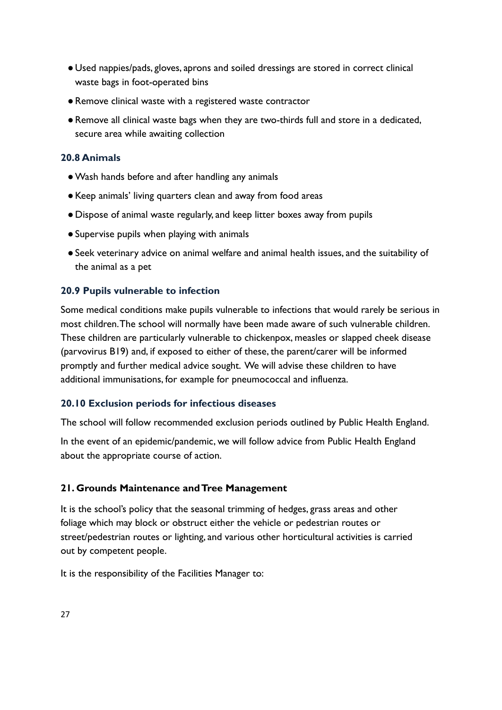- Used nappies/pads, gloves, aprons and soiled dressings are stored in correct clinical waste bags in foot-operated bins
- ●Remove clinical waste with a registered waste contractor
- ●Remove all clinical waste bags when they are two-thirds full and store in a dedicated, secure area while awaiting collection

#### **20.8 Animals**

- Wash hands before and after handling any animals
- ●Keep animals' living quarters clean and away from food areas
- ●Dispose of animal waste regularly, and keep litter boxes away from pupils
- ●Supervise pupils when playing with animals
- ●Seek veterinary advice on animal welfare and animal health issues, and the suitability of the animal as a pet

#### **20.9 Pupils vulnerable to infection**

Some medical conditions make pupils vulnerable to infections that would rarely be serious in most children.The school will normally have been made aware of such vulnerable children. These children are particularly vulnerable to chickenpox, measles or slapped cheek disease (parvovirus B19) and, if exposed to either of these, the parent/carer will be informed promptly and further medical advice sought. We will advise these children to have additional immunisations, for example for pneumococcal and influenza.

#### **20.10 Exclusion periods for infectious diseases**

The school will follow recommended exclusion periods outlined by Public Health England.

In the event of an epidemic/pandemic, we will follow advice from Public Health England about the appropriate course of action.

#### **21. Grounds Maintenance and Tree Management**

It is the school's policy that the seasonal trimming of hedges, grass areas and other foliage which may block or obstruct either the vehicle or pedestrian routes or street/pedestrian routes or lighting, and various other horticultural activities is carried out by competent people.

It is the responsibility of the Facilities Manager to: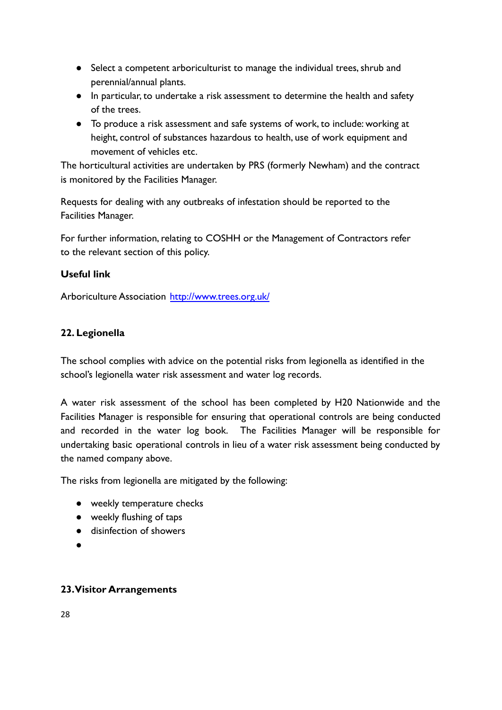- Select a competent arboriculturist to manage the individual trees, shrub and perennial/annual plants.
- In particular, to undertake a risk assessment to determine the health and safety of the trees.
- To produce a risk assessment and safe systems of work, to include: working at height, control of substances hazardous to health, use of work equipment and movement of vehicles etc.

The horticultural activities are undertaken by PRS (formerly Newham) and the contract is monitored by the Facilities Manager.

Requests for dealing with any outbreaks of infestation should be reported to the Facilities Manager.

For further information, relating to COSHH or the Management of Contractors refer to the relevant section of this policy.

## **Useful link**

Arboriculture Association <http://www.trees.org.uk/>

# **22. Legionella**

The school complies with advice on the potential risks from legionella as identified in the school's legionella water risk assessment and water log records.

A water risk assessment of the school has been completed by H20 Nationwide and the Facilities Manager is responsible for ensuring that operational controls are being conducted and recorded in the water log book. The Facilities Manager will be responsible for undertaking basic operational controls in lieu of a water risk assessment being conducted by the named company above.

The risks from legionella are mitigated by the following:

- weekly temperature checks
- weekly flushing of taps
- disinfection of showers
- ●

## **23.Visitor Arrangements**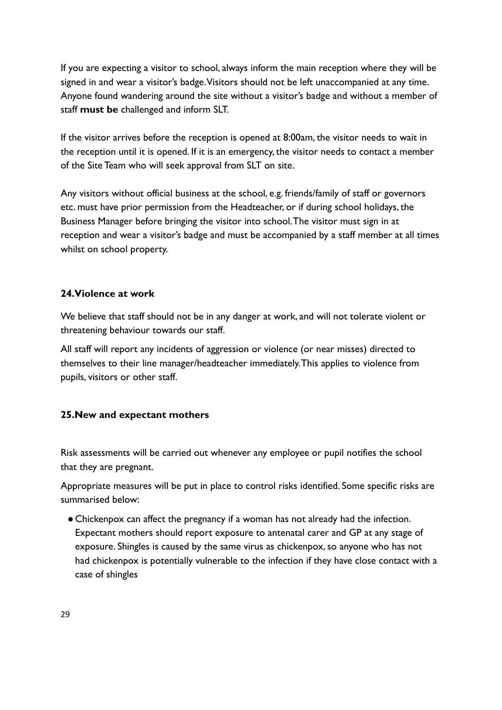If you are expecting a visitor to school, always inform the main reception where they will be signed in and wear a visitor's badge.Visitors should not be left unaccompanied at any time. Anyone found wandering around the site without a visitor's badge and without a member of staff **must be** challenged and inform SLT.

If the visitor arrives before the reception is opened at 8:00am, the visitor needs to wait in the reception until it is opened. If it is an emergency, the visitor needs to contact a member of the Site Team who will seek approval from SLT on site.

Any visitors without official business at the school, e.g. friends/family of staff or governors etc. must have prior permission from the Headteacher, or if during school holidays, the Business Manager before bringing the visitor into school.The visitor must sign in at reception and wear a visitor's badge and must be accompanied by a staff member at all times whilst on school property.

#### **24.Violence at work**

We believe that staff should not be in any danger at work, and will not tolerate violent or threatening behaviour towards our staff.

All staff will report any incidents of aggression or violence (or near misses) directed to themselves to their line manager/headteacher immediately.This applies to violence from pupils, visitors or other staff.

#### **25.New and expectant mothers**

Risk assessments will be carried out whenever any employee or pupil notifies the school that they are pregnant.

Appropriate measures will be put in place to control risks identified. Some specific risks are summarised below:

● Chickenpox can affect the pregnancy if a woman has not already had the infection. Expectant mothers should report exposure to antenatal carer and GP at any stage of exposure. Shingles is caused by the same virus as chickenpox, so anyone who has not had chickenpox is potentially vulnerable to the infection if they have close contact with a case of shingles